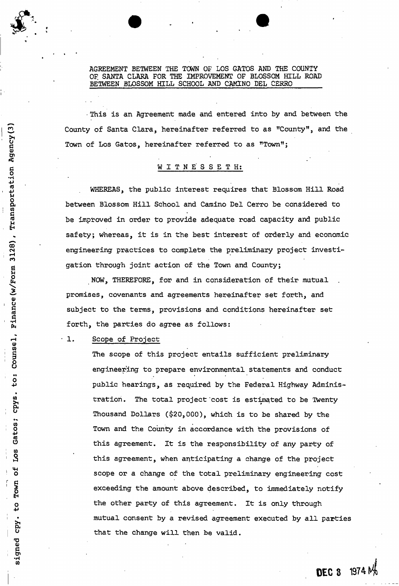AGREEMENT BETWEEN THE TOWN OF LOS GATOS AND THE COUNTY OF SANTA CLARA FOR THE IMPROVEMENT OF BLOSSOM HILL ROAD BETWEEN BLOSSOM HILL SCHOOL AND CAMINO DEL CERRO

• This is an Agreement made and entered into by and between the County of Santa Clara, hereinafter referred to as "County", and the Town of Los Gatos, hereinafter referred to as "Town";

# WITNESSETH:

WHEREAS, the public interest requires that Blossom Hill Road between Blossom Hill School and Camino Del Cerro be considered to be improved in order to provide adequate road capacity and public safety; whereas, it is in the best interest of orderly and economic engineering practices to complete the preliminary project investigation through joint action of the Town and County;

NOW, THEREFORE, for and in consideration of their mutual promises, covenants and agreements hereinafter set forth, and subject to the terms, provisions and conditions hereinafter set forth, the parties do agree as follows:

# 1. Scope of Project

The scope of this project entails sufficient preliminary engineering to prepare environmental statements and conduct public hearings, as required by the Federal Highway Administration. The total project cost is estimated to be Twenty Thousand Dollars (\$20,000), which is to be shared by the Town and the County in accordance with the provisions of this agreement. It is the responsibility of any party of this agreement, when anticipating a change of the project scope or a change of the total preliminary engineering cost exceeding the amount above described, to immediately notify the other party of this agreement. It is only through mutual consent by a revised agreement executed by all parties that the change will then be valid.

**DEC 3** 1974 M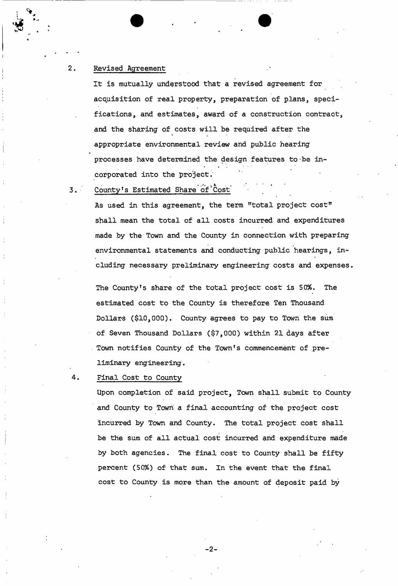## $2.$ Revised Agreement

It is mutually understood that a revised agreement for acquisition of real property, preparation of plans, specifications, and estimates, award of a construction contract, and the sharing of costs will be required after the appropriate environmental review and public hearing processes have determined the design features to-be in- » corporated into the project.

County's Estimated Share of Cost  $3.1$ 

> As used in this agreement, the term "total project cost" shall mean the total of all costs incurred and expenditures made by the Town and the County in connection with preparing environmental statements and conducting public hearings, including necessary preliminary engineering costs and expenses.

The County's share of the total project cost is 50%. The estimated cost to the County is therefore Ten Thousand Dollars (\$10,000). County agrees to pay to Town the sum of Seven Thousand Dollars (\$7,000) within 21 days after Town notifies County of the Town's commencement of preliminary engineering.

Final Cost to County

Upon completion of said project, Town shall submit to County and County to Town a final accounting of the project cost incurred by Town and County. The total project cost shall be the sum of all actual cost incurred and expenditure made by both agencies. The final cost to County shall be fifty percent (50%) of that sum. In the event that the final cost to County is more than the amount of deposit paid by

 $-2-$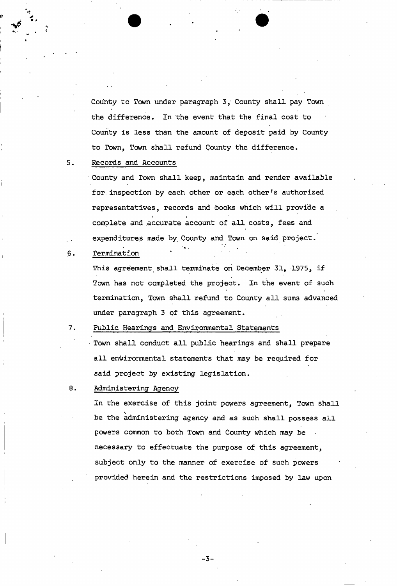County to Town under paragraph 3, County shall pay Town the difference. In'the event that the final cost to County is less than the amount of deposit paid by County to Town, Town shall refund County the difference.

## $5.$ Records and Accounts

County and Town shall keep, maintain and render available for. inspection by each other or each other's authorized representatives, records and books which will provide a • i complete and accurate account of all costs, fees and expenditures made by County and Town on said project.

 $\mathbf{F} = \mathbf{F} \times \mathbf{F}$  . The set of the set of the set of the set of the set of the set of the set of the set of the set of the set of the set of the set of the set of the set of the set of the set of the set of the set

 $6.$ Termination

> This agreement shall terminate on December 31, 1975, if Town has not completed the project. In the event of such termination, Town shall refund to County all sums advanced under paragraph 3 of this agreement.

7. Public Hearings and Environmental Statements

Town shall conduct all public hearings and shall prepare all environmental statements that may be required for said project by existing legislation.

## 8. Administering Agency

In the exercise of this joint powers agreement, Town shall be the administering agency and as such shall possess all  $\mathbf{b}$  and  $\mathbf{b}$  agency and as such shall possess all powers common to both Town and County which may be necessary to effectuate the purpose of this agreement, subject only to the manner of exercise of such powers provided herein and the restrictions imposed by law upon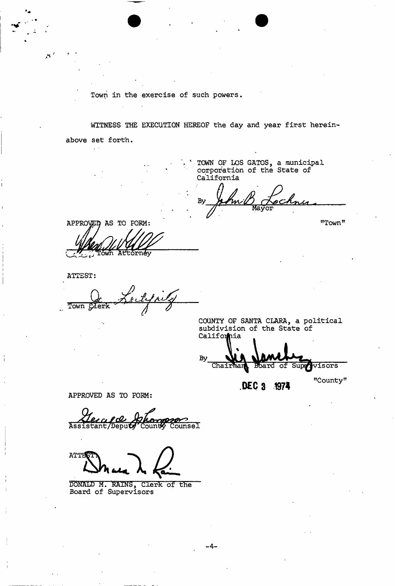Town in the exercise of such powers.

WITNESS THE EXECUTION HEREOF the day and year first hereinabove set forth.

> TOWN OF LOS GATOS, a municipal corporation of the State of California

By m/

"Town"

"County"

APPROVED AS TO FORM Āt tornev ∩้ผ⁄ัก

ATTEST:

 $\mathcal{S}^{\mathcal{A}}$ 

Town Clerk

COUNTY OF SANTA CLARA, a political subdivision of the State of Califonnia

 $By$ Chairman Board of Supplyisors

**DECS 1974** 

APPROVED AS TO FORM:

of *de Hampson*<br>Deputy County Counsel Assistant/Deputy

ATTE

DONALD M. RAINS, Clerk of the Board of Supervisors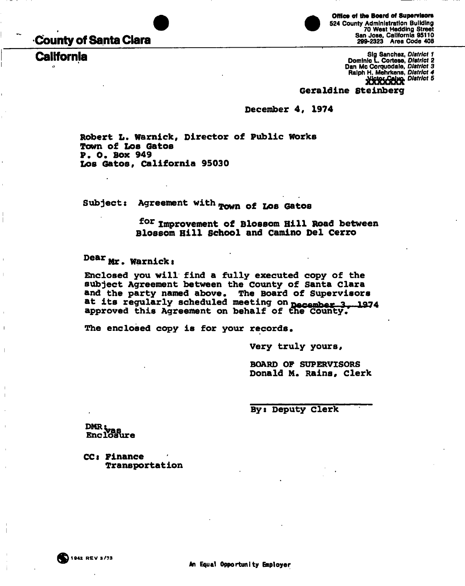# **-County of Santa Clara**

**California** 

 $\bullet$ 

**Office of the Board of Supervisors**  524 County Administration Building 70 West Hedding Street San Jose, California 95110 299-2323 Area Code 408

Sig Sanchez, *District 1*  Dominic L. Cortese, *District 2*  Dan Mc Corquodale, *District 3*  Ralph H. Mehrkens, *District 4 jflftfigfa District 5* 

# **Geraldine Steinberg**

**December 4, 1974** 

**Robert L. Warnick, Director of Public works Town of LOB Gatos P. 0. Box 949 Los Gatos, California 95030** 

Subject: Agreement with **Town** of Los Gatos

**f o <sup>r</sup> Improvement of Blossom Hill Road between Blossom Hill School and Camino Del Cerro** 

**Dear** Mr. Warnick:

**Enclosed you will find a fully executed copy of the subject Agreement between the County of Santa Clara and the party named above. The Board of Supervisors**  at its regularly scheduled meeting on **pecember 3, 1974** approved this Agreement on behalf of the County.

**The enclosed copy is for your records.** 

**, Very truly yours<sup>9</sup>**

**BOARD OF SUPERVISORS Donald M. Rains, Clerk** 

 **1** 

**By: Deputy Clerk**

**DMR**<br>**Enclosure** 

**CCs Finance Transportation** 

**i i**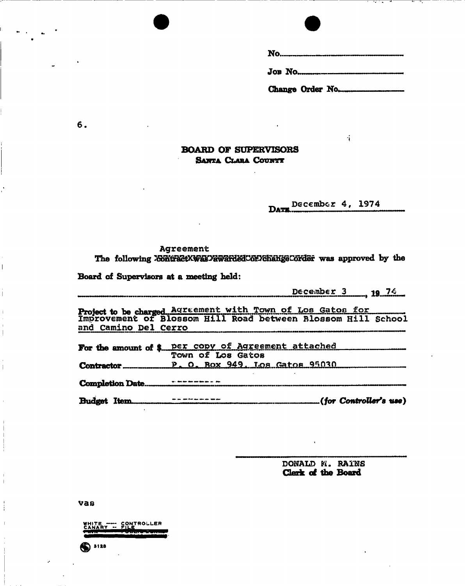**No**.......... **JOB NO.** 

**Change Order No.** 

**"i** 

# **BOARD OF SUPERVISORS SANTA CLARA COUNTY**

**DATE. December 4, 1974** 

Agreement<br>The following *ContractXWasPaward&dCoFFChangeCorder* was approved by the **The following was approved by the** 

Board of Supervisors at a meeting held: **Board of Supervisors at a meeting held:** 

**December 3 19 74** 

**Project to be charged Agreement with Town of Los Gatos for Improvement ot Blossom Hill Road between Blossom Hill School and Camino Del Cerro** 

| For the amount of \$ per copy of Agreement attached |
|-----------------------------------------------------|
| Town of Los Gatos                                   |
| Contractor P. O. Box 949, Los Gatos 95030           |
|                                                     |
|                                                     |

**Budget Item (/or Controller's use)** 

**DONALD H. RAINS Clerk of the Board** 

**vas** 

 $••••$ 

WHITE ---- CONTROLLER<br>CANARY -- FILE<br><del>Twin -- --- Court Wenn</del>

**6.** 

 $\overline{1}$